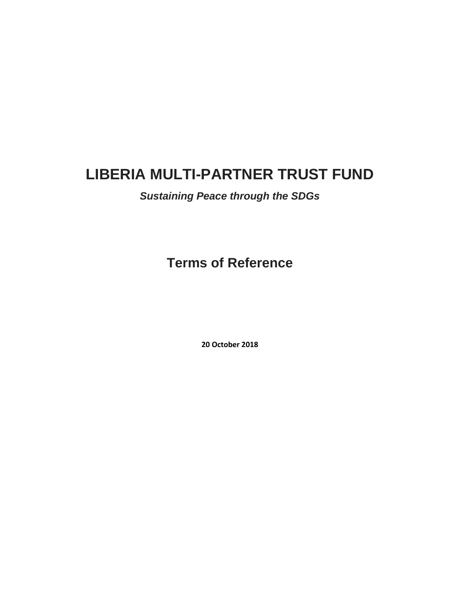# **LIBERIA MULTI-PARTNER TRUST FUND**

# *Sustaining Peace through the SDGs*

**Terms of Reference**

**20 October 2018**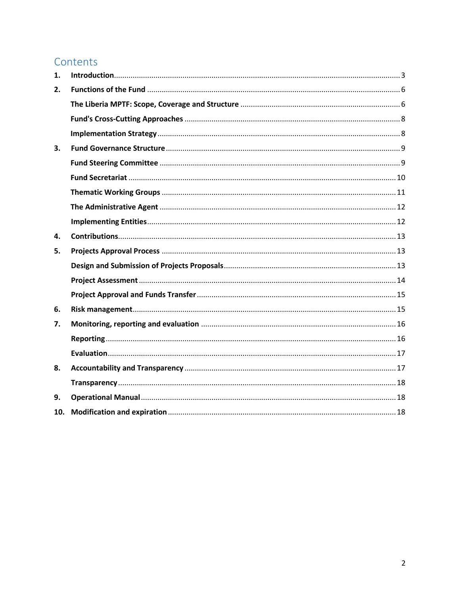# Contents

| 1.  |  |
|-----|--|
| 2.  |  |
|     |  |
|     |  |
|     |  |
| 3.  |  |
|     |  |
|     |  |
|     |  |
|     |  |
|     |  |
| 4.  |  |
| 5.  |  |
|     |  |
|     |  |
|     |  |
| 6.  |  |
| 7.  |  |
|     |  |
|     |  |
| 8.  |  |
|     |  |
| 9.  |  |
| 10. |  |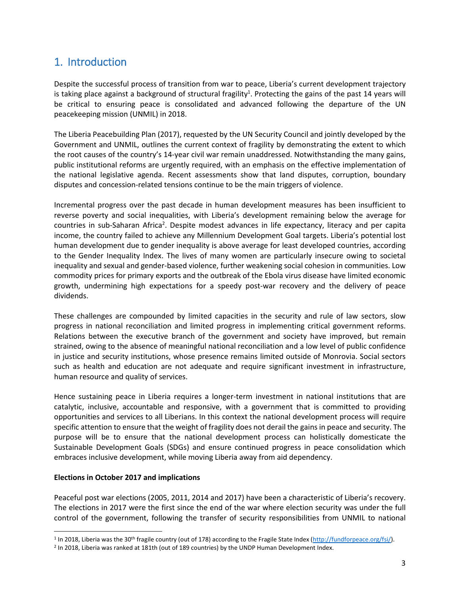# <span id="page-2-0"></span>1. Introduction

Despite the successful process of transition from war to peace, Liberia's current development trajectory is taking place against a background of structural fragility<sup>1</sup>. Protecting the gains of the past 14 years will be critical to ensuring peace is consolidated and advanced following the departure of the UN peacekeeping mission (UNMIL) in 2018.

The Liberia Peacebuilding Plan (2017), requested by the UN Security Council and jointly developed by the Government and UNMIL, outlines the current context of fragility by demonstrating the extent to which the root causes of the country's 14-year civil war remain unaddressed. Notwithstanding the many gains, public institutional reforms are urgently required, with an emphasis on the effective implementation of the national legislative agenda. Recent assessments show that land disputes, corruption, boundary disputes and concession-related tensions continue to be the main triggers of violence.

Incremental progress over the past decade in human development measures has been insufficient to reverse poverty and social inequalities, with Liberia's development remaining below the average for countries in sub-Saharan Africa<sup>2</sup>. Despite modest advances in life expectancy, literacy and per capita income, the country failed to achieve any Millennium Development Goal targets. Liberia's potential lost human development due to gender inequality is above average for least developed countries, according to the Gender Inequality Index. The lives of many women are particularly insecure owing to societal inequality and sexual and gender-based violence, further weakening social cohesion in communities. Low commodity prices for primary exports and the outbreak of the Ebola virus disease have limited economic growth, undermining high expectations for a speedy post-war recovery and the delivery of peace dividends.

These challenges are compounded by limited capacities in the security and rule of law sectors, slow progress in national reconciliation and limited progress in implementing critical government reforms. Relations between the executive branch of the government and society have improved, but remain strained, owing to the absence of meaningful national reconciliation and a low level of public confidence in justice and security institutions, whose presence remains limited outside of Monrovia. Social sectors such as health and education are not adequate and require significant investment in infrastructure, human resource and quality of services.

Hence sustaining peace in Liberia requires a longer-term investment in national institutions that are catalytic, inclusive, accountable and responsive, with a government that is committed to providing opportunities and services to all Liberians. In this context the national development process will require specific attention to ensure that the weight of fragility does not derail the gains in peace and security. The purpose will be to ensure that the national development process can holistically domesticate the Sustainable Development Goals (SDGs) and ensure continued progress in peace consolidation which embraces inclusive development, while moving Liberia away from aid dependency.

#### **Elections in October 2017 and implications**

 $\overline{\phantom{a}}$ 

Peaceful post war elections (2005, 2011, 2014 and 2017) have been a characteristic of Liberia's recovery. The elections in 2017 were the first since the end of the war where election security was under the full control of the government, following the transfer of security responsibilities from UNMIL to national

<sup>&</sup>lt;sup>1</sup> In 2018, Liberia was the 30<sup>th</sup> fragile country (out of 178) according to the Fragile State Index [\(http://fundforpeace.org/fsi/\)](http://fundforpeace.org/fsi/).

<sup>2</sup> In 2018, Liberia was ranked at 181th (out of 189 countries) by the UNDP Human Development Index.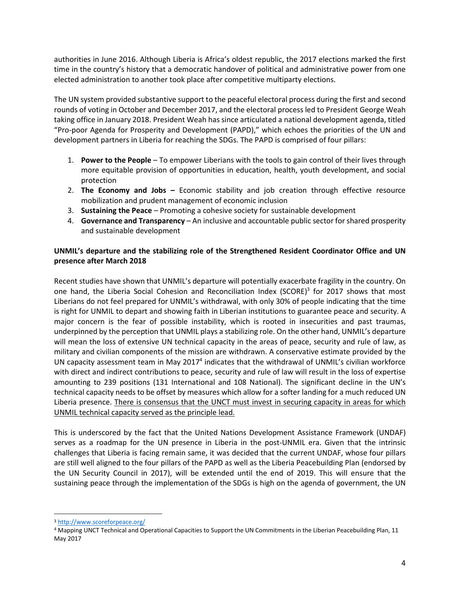authorities in June 2016. Although Liberia is Africa's oldest republic, the 2017 elections marked the first time in the country's history that a democratic handover of political and administrative power from one elected administration to another took place after competitive multiparty elections.

The UN system provided substantive support to the peaceful electoral process during the first and second rounds of voting in October and December 2017, and the electoral process led to President George Weah taking office in January 2018. President Weah has since articulated a national development agenda, titled "Pro-poor Agenda for Prosperity and Development (PAPD)," which echoes the priorities of the UN and development partners in Liberia for reaching the SDGs. The PAPD is comprised of four pillars:

- 1. **Power to the People** To empower Liberians with the tools to gain control of their lives through more equitable provision of opportunities in education, health, youth development, and social protection
- 2. **The Economy and Jobs –** Economic stability and job creation through effective resource mobilization and prudent management of economic inclusion
- 3. **Sustaining the Peace** Promoting a cohesive society for sustainable development
- 4. **Governance and Transparency** An inclusive and accountable public sector for shared prosperity and sustainable development

#### **UNMIL's departure and the stabilizing role of the Strengthened Resident Coordinator Office and UN presence after March 2018**

Recent studies have shown that UNMIL's departure will potentially exacerbate fragility in the country. On one hand, the Liberia Social Cohesion and Reconciliation Index (SCORE)<sup>3</sup> for 2017 shows that most Liberians do not feel prepared for UNMIL's withdrawal, with only 30% of people indicating that the time is right for UNMIL to depart and showing faith in Liberian institutions to guarantee peace and security. A major concern is the fear of possible instability, which is rooted in insecurities and past traumas, underpinned by the perception that UNMIL plays a stabilizing role. On the other hand, UNMIL's departure will mean the loss of extensive UN technical capacity in the areas of peace, security and rule of law, as military and civilian components of the mission are withdrawn. A conservative estimate provided by the UN capacity assessment team in May 2017<sup>4</sup> indicates that the withdrawal of UNMIL's civilian workforce with direct and indirect contributions to peace, security and rule of law will result in the loss of expertise amounting to 239 positions (131 International and 108 National). The significant decline in the UN's technical capacity needs to be offset by measures which allow for a softer landing for a much reduced UN Liberia presence. There is consensus that the UNCT must invest in securing capacity in areas for which UNMIL technical capacity served as the principle lead.

This is underscored by the fact that the United Nations Development Assistance Framework (UNDAF) serves as a roadmap for the UN presence in Liberia in the post-UNMIL era. Given that the intrinsic challenges that Liberia is facing remain same, it was decided that the current UNDAF, whose four pillars are still well aligned to the four pillars of the PAPD as well as the Liberia Peacebuilding Plan (endorsed by the UN Security Council in 2017), will be extended until the end of 2019. This will ensure that the sustaining peace through the implementation of the SDGs is high on the agenda of government, the UN

 $\overline{\phantom{a}}$ 

<sup>3</sup> <http://www.scoreforpeace.org/>

<sup>4</sup> Mapping UNCT Technical and Operational Capacities to Support the UN Commitments in the Liberian Peacebuilding Plan, 11 May 2017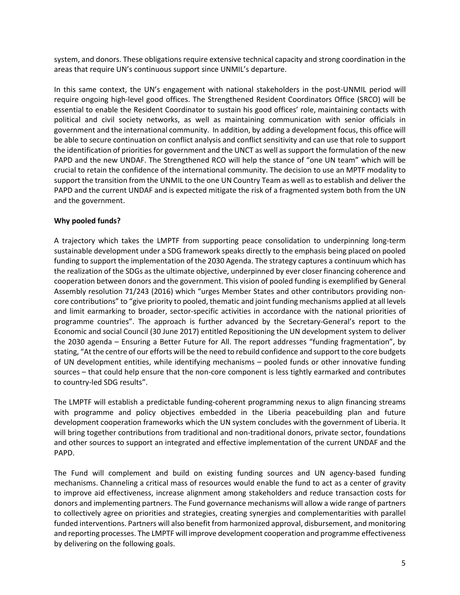system, and donors. These obligations require extensive technical capacity and strong coordination in the areas that require UN's continuous support since UNMIL's departure.

In this same context, the UN's engagement with national stakeholders in the post-UNMIL period will require ongoing high-level good offices. The Strengthened Resident Coordinators Office (SRCO) will be essential to enable the Resident Coordinator to sustain his good offices' role, maintaining contacts with political and civil society networks, as well as maintaining communication with senior officials in government and the international community. In addition, by adding a development focus, this office will be able to secure continuation on conflict analysis and conflict sensitivity and can use that role to support the identification of priorities for government and the UNCT as well assupport the formulation of the new PAPD and the new UNDAF. The Strengthened RCO will help the stance of "one UN team" which will be crucial to retain the confidence of the international community. The decision to use an MPTF modality to support the transition from the UNMIL to the one UN Country Team as well as to establish and deliver the PAPD and the current UNDAF and is expected mitigate the risk of a fragmented system both from the UN and the government.

#### **Why pooled funds?**

A trajectory which takes the LMPTF from supporting peace consolidation to underpinning long-term sustainable development under a SDG framework speaks directly to the emphasis being placed on pooled funding to support the implementation of the 2030 Agenda. The strategy captures a continuum which has the realization of the SDGs as the ultimate objective, underpinned by ever closer financing coherence and cooperation between donors and the government. This vision of pooled funding is exemplified by General Assembly resolution 71/243 (2016) which "urges Member States and other contributors providing noncore contributions" to "give priority to pooled, thematic and joint funding mechanisms applied at all levels and limit earmarking to broader, sector-specific activities in accordance with the national priorities of programme countries". The approach is further advanced by the Secretary-General's report to the Economic and social Council (30 June 2017) entitled Repositioning the UN development system to deliver the 2030 agenda – Ensuring a Better Future for All. The report addresses "funding fragmentation", by stating, "Atthe centre of our efforts will be the need to rebuild confidence and supportto the core budgets of UN development entities, while identifying mechanisms – pooled funds or other innovative funding sources – that could help ensure that the non-core component is less tightly earmarked and contributes to country-led SDG results".

The LMPTF will establish a predictable funding-coherent programming nexus to align financing streams with programme and policy objectives embedded in the Liberia peacebuilding plan and future development cooperation frameworks which the UN system concludes with the government of Liberia. It will bring together contributions from traditional and non-traditional donors, private sector, foundations and other sources to support an integrated and effective implementation of the current UNDAF and the PAPD.

The Fund will complement and build on existing funding sources and UN agency-based funding mechanisms. Channeling a critical mass of resources would enable the fund to act as a center of gravity to improve aid effectiveness, increase alignment among stakeholders and reduce transaction costs for donors and implementing partners. The Fund governance mechanisms will allow a wide range of partners to collectively agree on priorities and strategies, creating synergies and complementarities with parallel funded interventions. Partners will also benefit from harmonized approval, disbursement, and monitoring and reporting processes. The LMPTF will improve development cooperation and programme effectiveness by delivering on the following goals.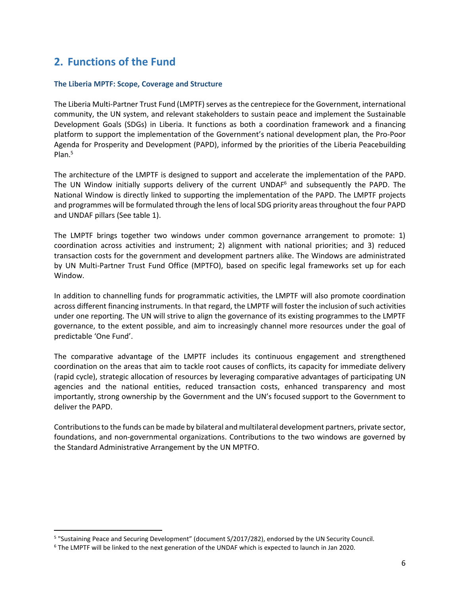# <span id="page-5-0"></span>**2. Functions of the Fund**

#### <span id="page-5-1"></span>**The Liberia MPTF: Scope, Coverage and Structure**

The Liberia Multi-Partner Trust Fund (LMPTF) serves as the centrepiece for the Government, international community, the UN system, and relevant stakeholders to sustain peace and implement the Sustainable Development Goals (SDGs) in Liberia. It functions as both a coordination framework and a financing platform to support the implementation of the Government's national development plan, the Pro-Poor Agenda for Prosperity and Development (PAPD), informed by the priorities of the Liberia Peacebuilding Plan.<sup>5</sup>

The architecture of the LMPTF is designed to support and accelerate the implementation of the PAPD. The UN Window initially supports delivery of the current UNDAF $<sup>6</sup>$  and subsequently the PAPD. The</sup> National Window is directly linked to supporting the implementation of the PAPD. The LMPTF projects and programmes will be formulated through the lens of local SDG priority areasthroughout the four PAPD and UNDAF pillars (See table 1).

The LMPTF brings together two windows under common governance arrangement to promote: 1) coordination across activities and instrument; 2) alignment with national priorities; and 3) reduced transaction costs for the government and development partners alike. The Windows are administrated by UN Multi-Partner Trust Fund Office (MPTFO), based on specific legal frameworks set up for each Window.

In addition to channelling funds for programmatic activities, the LMPTF will also promote coordination across different financing instruments. In that regard, the LMPTF will foster the inclusion of such activities under one reporting. The UN will strive to align the governance of its existing programmes to the LMPTF governance, to the extent possible, and aim to increasingly channel more resources under the goal of predictable 'One Fund'.

The comparative advantage of the LMPTF includes its continuous engagement and strengthened coordination on the areas that aim to tackle root causes of conflicts, its capacity for immediate delivery (rapid cycle), strategic allocation of resources by leveraging comparative advantages of participating UN agencies and the national entities, reduced transaction costs, enhanced transparency and most importantly, strong ownership by the Government and the UN's focused support to the Government to deliver the PAPD.

Contributions to the funds can be made by bilateral and multilateral development partners, private sector, foundations, and non-governmental organizations. Contributions to the two windows are governed by the Standard Administrative Arrangement by the UN MPTFO.

 $\overline{a}$ 

<sup>5</sup> "Sustaining Peace and Securing Development" (document S/2017/282), endorsed by the UN Security Council.

<sup>6</sup> The LMPTF will be linked to the next generation of the UNDAF which is expected to launch in Jan 2020.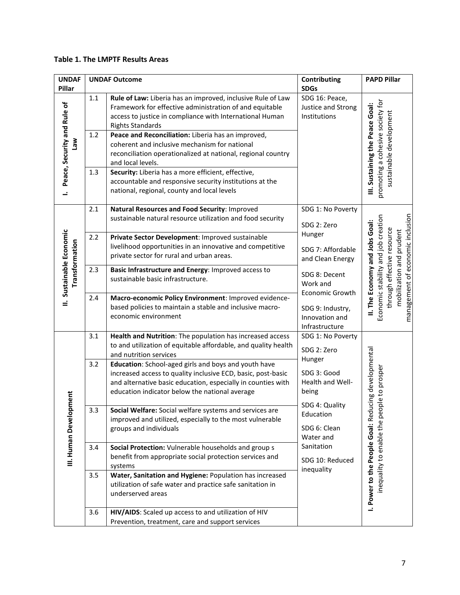#### **Table 1. The LMPTF Results Areas**

| <b>UNDAF</b>                               | <b>UNDAF Outcome</b> |                                                                                                                                                                                                                                                                     | Contributing                                                                        | <b>PAPD Pillar</b>                                                                                                                                                  |
|--------------------------------------------|----------------------|---------------------------------------------------------------------------------------------------------------------------------------------------------------------------------------------------------------------------------------------------------------------|-------------------------------------------------------------------------------------|---------------------------------------------------------------------------------------------------------------------------------------------------------------------|
| Pillar                                     |                      |                                                                                                                                                                                                                                                                     | <b>SDGs</b>                                                                         |                                                                                                                                                                     |
| Peace, Security and Rule of                | $1.1\,$<br>1.2       | Rule of Law: Liberia has an improved, inclusive Rule of Law<br>Framework for effective administration of and equitable<br>access to justice in compliance with International Human<br><b>Rights Standards</b><br>Peace and Reconciliation: Liberia has an improved, | SDG 16: Peace,<br>Justice and Strong<br>Institutions                                | cohesive society for<br>III. Sustaining the Peace Goal:                                                                                                             |
| wel                                        |                      | coherent and inclusive mechanism for national<br>reconciliation operationalized at national, regional country<br>and local levels.                                                                                                                                  |                                                                                     | sustainable development                                                                                                                                             |
| <u>.</u>                                   | 1.3                  | Security: Liberia has a more efficient, effective,<br>accountable and responsive security institutions at the<br>national, regional, county and local levels                                                                                                        |                                                                                     | promoting a                                                                                                                                                         |
|                                            | 2.1                  | Natural Resources and Food Security: Improved<br>sustainable natural resource utilization and food security                                                                                                                                                         | SDG 1: No Poverty<br>SDG 2: Zero<br>Hunger<br>SDG 7: Affordable<br>and Clean Energy |                                                                                                                                                                     |
| II. Sustainable Economic<br>Transformation | 2.2                  | Private Sector Development: Improved sustainable<br>livelihood opportunities in an innovative and competitive<br>private sector for rural and urban areas.                                                                                                          |                                                                                     | management of economic inclusion<br>Economic stability and job creation<br>II. The Economy and Jobs Goal:<br>through effective resource<br>mobilization and prudent |
|                                            | 2.3                  | Basic Infrastructure and Energy: Improved access to<br>sustainable basic infrastructure.                                                                                                                                                                            | SDG 8: Decent<br>Work and<br><b>Economic Growth</b>                                 |                                                                                                                                                                     |
|                                            | 2.4                  | Macro-economic Policy Environment: Improved evidence-<br>based policies to maintain a stable and inclusive macro-<br>economic environment                                                                                                                           | SDG 9: Industry,<br>Innovation and<br>Infrastructure                                |                                                                                                                                                                     |
|                                            | 3.1                  | Health and Nutrition: The population has increased access<br>to and utilization of equitable affordable, and quality health<br>and nutrition services                                                                                                               | SDG 1: No Poverty<br>SDG 2: Zero                                                    |                                                                                                                                                                     |
|                                            | 3.2                  | Education: School-aged girls and boys and youth have<br>increased access to quality inclusive ECD, basic, post-basic<br>and alternative basic education, especially in counties with<br>education indicator below the national average                              | Hunger<br>SDG 3: Good<br>Health and Well-<br>being                                  | ucing developmental<br>ple to prosper                                                                                                                               |
| III. Human Development                     | 3.3                  | Social Welfare: Social welfare systems and services are<br>improved and utilized, especially to the most vulnerable<br>groups and individuals                                                                                                                       | SDG 4: Quality<br>Education<br>SDG 6: Clean<br>Water and                            | inequality to enable the per                                                                                                                                        |
|                                            | 3.4                  | Social Protection: Vulnerable households and group s<br>benefit from appropriate social protection services and<br>systems                                                                                                                                          | Sanitation<br>SDG 10: Reduced<br>inequality                                         |                                                                                                                                                                     |
|                                            | 3.5                  | Water, Sanitation and Hygiene: Population has increased<br>utilization of safe water and practice safe sanitation in<br>underserved areas                                                                                                                           |                                                                                     | I. Power to the People Goal: Red                                                                                                                                    |
|                                            | 3.6                  | HIV/AIDS: Scaled up access to and utilization of HIV<br>Prevention, treatment, care and support services                                                                                                                                                            |                                                                                     |                                                                                                                                                                     |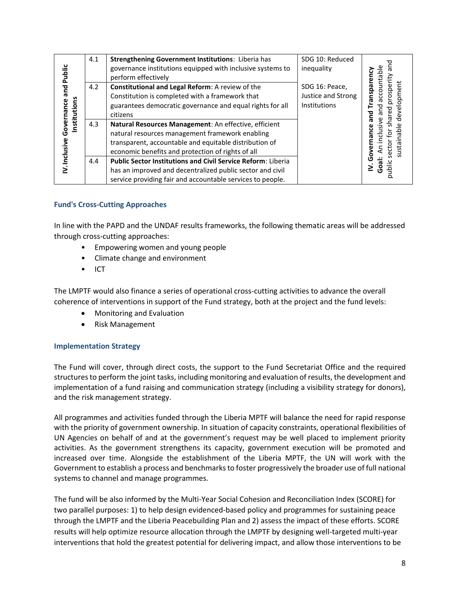| Public                               | 4.1 | <b>Strengthening Government Institutions: Liberia has</b><br>governance institutions equipped with inclusive systems to<br>perform effectively                                                                          | SDG 10: Reduced<br>inequality                        | puntable<br>ه |
|--------------------------------------|-----|-------------------------------------------------------------------------------------------------------------------------------------------------------------------------------------------------------------------------|------------------------------------------------------|---------------|
| pue<br>Governance<br><b>stitutio</b> | 4.2 | Constitutional and Legal Reform: A review of the<br>Constitution is completed with a framework that<br>guarantees democratic governance and equal rights for all<br>citizens                                            | SDG 16: Peace,<br>Justice and Strong<br>Institutions |               |
| V. Inclusive                         | 4.3 | Natural Resources Management: An effective, efficient<br>natural resources management framework enabling<br>transparent, accountable and equitable distribution of<br>economic benefits and protection of rights of all |                                                      |               |
|                                      | 4.4 | <b>Public Sector Institutions and Civil Service Reform: Liberia</b><br>has an improved and decentralized public sector and civil<br>service providing fair and accountable services to people.                          |                                                      | ilduq<br>ō    |

#### <span id="page-7-0"></span>**Fund's Cross-Cutting Approaches**

In line with the PAPD and the UNDAF results frameworks, the following thematic areas will be addressed through cross-cutting approaches:

- Empowering women and young people
- Climate change and environment
- ICT

The LMPTF would also finance a series of operational cross-cutting activities to advance the overall coherence of interventions in support of the Fund strategy, both at the project and the fund levels:

- Monitoring and Evaluation
- Risk Management

#### <span id="page-7-1"></span>**Implementation Strategy**

The Fund will cover, through direct costs, the support to the Fund Secretariat Office and the required structuresto perform the joint tasks, including monitoring and evaluation of results, the development and implementation of a fund raising and communication strategy (including a visibility strategy for donors), and the risk management strategy.

All programmes and activities funded through the Liberia MPTF will balance the need for rapid response with the priority of government ownership. In situation of capacity constraints, operational flexibilities of UN Agencies on behalf of and at the government's request may be well placed to implement priority activities. As the government strengthens its capacity, government execution will be promoted and increased over time. Alongside the establishment of the Liberia MPTF, the UN will work with the Government to establish a process and benchmarks to foster progressively the broader use of full national systems to channel and manage programmes.

The fund will be also informed by the Multi-Year Social Cohesion and Reconciliation Index (SCORE) for two parallel purposes: 1) to help design evidenced-based policy and programmes for sustaining peace through the LMPTF and the Liberia Peacebuilding Plan and 2) assess the impact of these efforts. SCORE results will help optimize resource allocation through the LMPTF by designing well-targeted multi-year interventions that hold the greatest potential for delivering impact, and allow those interventions to be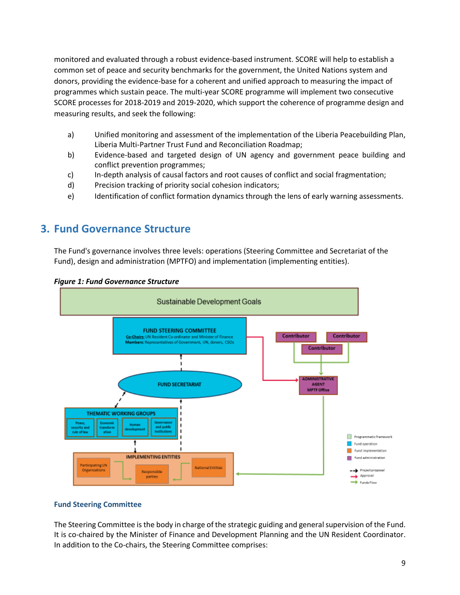monitored and evaluated through a robust evidence-based instrument. SCORE will help to establish a common set of peace and security benchmarks for the government, the United Nations system and donors, providing the evidence-base for a coherent and unified approach to measuring the impact of programmes which sustain peace. The multi-year SCORE programme will implement two consecutive SCORE processes for 2018-2019 and 2019-2020, which support the coherence of programme design and measuring results, and seek the following:

- a) Unified monitoring and assessment of the implementation of the Liberia Peacebuilding Plan, Liberia Multi-Partner Trust Fund and Reconciliation Roadmap;
- b) Evidence-based and targeted design of UN agency and government peace building and conflict prevention programmes;
- c) In-depth analysis of causal factors and root causes of conflict and social fragmentation;
- d) Precision tracking of priority social cohesion indicators;
- e) Identification of conflict formation dynamics through the lens of early warning assessments.

### <span id="page-8-0"></span>**3. Fund Governance Structure**

The Fund's governance involves three levels: operations (Steering Committee and Secretariat of the Fund), design and administration (MPTFO) and implementation (implementing entities).



#### *Figure 1: Fund Governance Structure*

#### <span id="page-8-1"></span>**Fund Steering Committee**

The Steering Committee is the body in charge of the strategic guiding and general supervision of the Fund. It is co-chaired by the Minister of Finance and Development Planning and the UN Resident Coordinator. In addition to the Co-chairs, the Steering Committee comprises: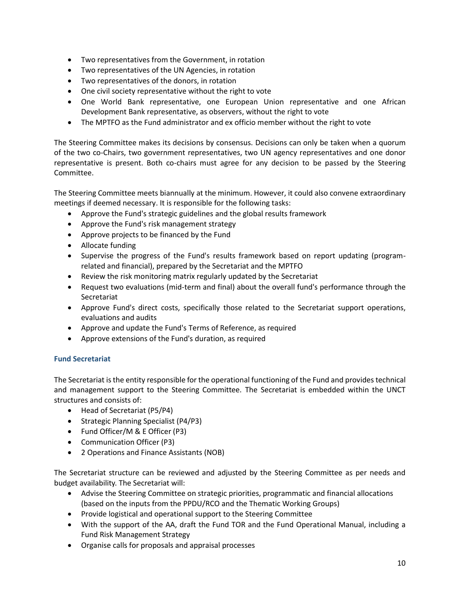- Two representatives from the Government, in rotation
- Two representatives of the UN Agencies, in rotation
- Two representatives of the donors, in rotation
- One civil society representative without the right to vote
- One World Bank representative, one European Union representative and one African Development Bank representative, as observers, without the right to vote
- The MPTFO as the Fund administrator and ex officio member without the right to vote

The Steering Committee makes its decisions by consensus. Decisions can only be taken when a quorum of the two co-Chairs, two government representatives, two UN agency representatives and one donor representative is present. Both co-chairs must agree for any decision to be passed by the Steering Committee.

The Steering Committee meets biannually at the minimum. However, it could also convene extraordinary meetings if deemed necessary. It is responsible for the following tasks:

- Approve the Fund's strategic guidelines and the global results framework
- Approve the Fund's risk management strategy
- Approve projects to be financed by the Fund
- Allocate funding
- Supervise the progress of the Fund's results framework based on report updating (programrelated and financial), prepared by the Secretariat and the MPTFO
- Review the risk monitoring matrix regularly updated by the Secretariat
- Request two evaluations (mid-term and final) about the overall fund's performance through the Secretariat
- Approve Fund's direct costs, specifically those related to the Secretariat support operations, evaluations and audits
- Approve and update the Fund's Terms of Reference, as required
- Approve extensions of the Fund's duration, as required

#### <span id="page-9-0"></span>**Fund Secretariat**

The Secretariat is the entity responsible for the operational functioning of the Fund and provides technical and management support to the Steering Committee. The Secretariat is embedded within the UNCT structures and consists of:

- Head of Secretariat (P5/P4)
- Strategic Planning Specialist (P4/P3)
- Fund Officer/M & E Officer (P3)
- Communication Officer (P3)
- 2 Operations and Finance Assistants (NOB)

The Secretariat structure can be reviewed and adjusted by the Steering Committee as per needs and budget availability. The Secretariat will:

- Advise the Steering Committee on strategic priorities, programmatic and financial allocations (based on the inputs from the PPDU/RCO and the Thematic Working Groups)
- Provide logistical and operational support to the Steering Committee
- With the support of the AA, draft the Fund TOR and the Fund Operational Manual, including a Fund Risk Management Strategy
- Organise calls for proposals and appraisal processes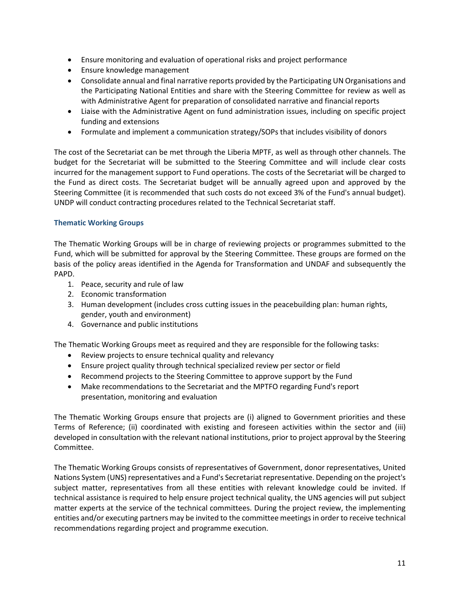- Ensure monitoring and evaluation of operational risks and project performance
- Ensure knowledge management
- Consolidate annual and final narrative reports provided by the Participating UN Organisations and the Participating National Entities and share with the Steering Committee for review as well as with Administrative Agent for preparation of consolidated narrative and financial reports
- Liaise with the Administrative Agent on fund administration issues, including on specific project funding and extensions
- Formulate and implement a communication strategy/SOPs that includes visibility of donors

The cost of the Secretariat can be met through the Liberia MPTF, as well as through other channels. The budget for the Secretariat will be submitted to the Steering Committee and will include clear costs incurred for the management support to Fund operations. The costs of the Secretariat will be charged to the Fund as direct costs. The Secretariat budget will be annually agreed upon and approved by the Steering Committee (it is recommended that such costs do not exceed 3% of the Fund's annual budget). UNDP will conduct contracting procedures related to the Technical Secretariat staff.

#### <span id="page-10-0"></span>**Thematic Working Groups**

The Thematic Working Groups will be in charge of reviewing projects or programmes submitted to the Fund, which will be submitted for approval by the Steering Committee. These groups are formed on the basis of the policy areas identified in the Agenda for Transformation and UNDAF and subsequently the PAPD.

- 1. Peace, security and rule of law
- 2. Economic transformation
- 3. Human development (includes cross cutting issues in the peacebuilding plan: human rights, gender, youth and environment)
- 4. Governance and public institutions

The Thematic Working Groups meet as required and they are responsible for the following tasks:

- Review projects to ensure technical quality and relevancy
- Ensure project quality through technical specialized review per sector or field
- Recommend projects to the Steering Committee to approve support by the Fund
- Make recommendations to the Secretariat and the MPTFO regarding Fund's report presentation, monitoring and evaluation

The Thematic Working Groups ensure that projects are (i) aligned to Government priorities and these Terms of Reference; (ii) coordinated with existing and foreseen activities within the sector and (iii) developed in consultation with the relevant national institutions, prior to project approval by the Steering Committee.

The Thematic Working Groups consists of representatives of Government, donor representatives, United Nations System (UNS) representatives and a Fund's Secretariat representative. Depending on the project's subject matter, representatives from all these entities with relevant knowledge could be invited. If technical assistance is required to help ensure project technical quality, the UNS agencies will put subject matter experts at the service of the technical committees. During the project review, the implementing entities and/or executing partners may be invited to the committee meetings in order to receive technical recommendations regarding project and programme execution.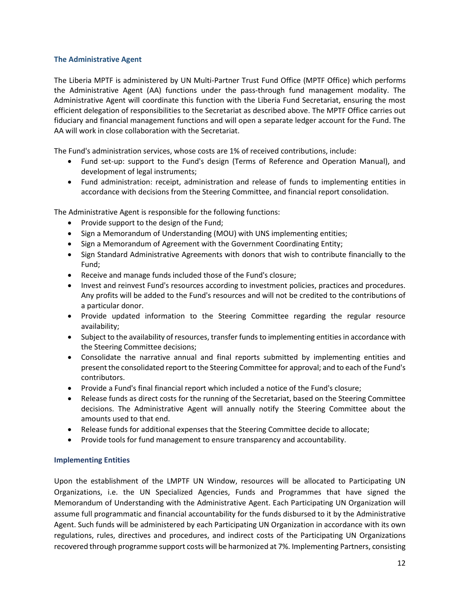#### <span id="page-11-0"></span>**The Administrative Agent**

The Liberia MPTF is administered by UN Multi-Partner Trust Fund Office (MPTF Office) which performs the Administrative Agent (AA) functions under the pass-through fund management modality. The Administrative Agent will coordinate this function with the Liberia Fund Secretariat, ensuring the most efficient delegation of responsibilities to the Secretariat as described above. The MPTF Office carries out fiduciary and financial management functions and will open a separate ledger account for the Fund. The AA will work in close collaboration with the Secretariat.

The Fund's administration services, whose costs are 1% of received contributions, include:

- Fund set-up: support to the Fund's design (Terms of Reference and Operation Manual), and development of legal instruments;
- Fund administration: receipt, administration and release of funds to implementing entities in accordance with decisions from the Steering Committee, and financial report consolidation.

The Administrative Agent is responsible for the following functions:

- Provide support to the design of the Fund;
- Sign a Memorandum of Understanding (MOU) with UNS implementing entities;
- Sign a Memorandum of Agreement with the Government Coordinating Entity;
- Sign Standard Administrative Agreements with donors that wish to contribute financially to the Fund;
- Receive and manage funds included those of the Fund's closure;
- Invest and reinvest Fund's resources according to investment policies, practices and procedures. Any profits will be added to the Fund's resources and will not be credited to the contributions of a particular donor.
- Provide updated information to the Steering Committee regarding the regular resource availability;
- Subject to the availability of resources, transfer funds to implementing entities in accordance with the Steering Committee decisions;
- Consolidate the narrative annual and final reports submitted by implementing entities and present the consolidated report to the Steering Committee for approval; and to each of the Fund's contributors.
- Provide a Fund's final financial report which included a notice of the Fund's closure;
- Release funds as direct costs for the running of the Secretariat, based on the Steering Committee decisions. The Administrative Agent will annually notify the Steering Committee about the amounts used to that end.
- Release funds for additional expenses that the Steering Committee decide to allocate;
- Provide tools for fund management to ensure transparency and accountability.

#### <span id="page-11-1"></span>**Implementing Entities**

Upon the establishment of the LMPTF UN Window, resources will be allocated to Participating UN Organizations, i.e. the UN Specialized Agencies, Funds and Programmes that have signed the Memorandum of Understanding with the Administrative Agent. Each Participating UN Organization will assume full programmatic and financial accountability for the funds disbursed to it by the Administrative Agent. Such funds will be administered by each Participating UN Organization in accordance with its own regulations, rules, directives and procedures, and indirect costs of the Participating UN Organizations recovered through programme support costs will be harmonized at 7%. Implementing Partners, consisting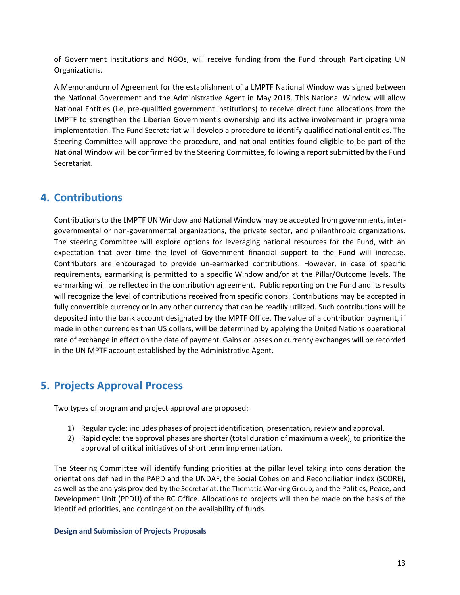of Government institutions and NGOs, will receive funding from the Fund through Participating UN Organizations.

A Memorandum of Agreement for the establishment of a LMPTF National Window was signed between the National Government and the Administrative Agent in May 2018. This National Window will allow National Entities (i.e. pre-qualified government institutions) to receive direct fund allocations from the LMPTF to strengthen the Liberian Government's ownership and its active involvement in programme implementation. The Fund Secretariat will develop a procedure to identify qualified national entities. The Steering Committee will approve the procedure, and national entities found eligible to be part of the National Window will be confirmed by the Steering Committee, following a report submitted by the Fund Secretariat.

## <span id="page-12-0"></span>**4. Contributions**

Contributions to the LMPTF UN Window and National Window may be accepted from governments, intergovernmental or non-governmental organizations, the private sector, and philanthropic organizations. The steering Committee will explore options for leveraging national resources for the Fund, with an expectation that over time the level of Government financial support to the Fund will increase. Contributors are encouraged to provide un-earmarked contributions. However, in case of specific requirements, earmarking is permitted to a specific Window and/or at the Pillar/Outcome levels. The earmarking will be reflected in the contribution agreement. Public reporting on the Fund and its results will recognize the level of contributions received from specific donors. Contributions may be accepted in fully convertible currency or in any other currency that can be readily utilized. Such contributions will be deposited into the bank account designated by the MPTF Office. The value of a contribution payment, if made in other currencies than US dollars, will be determined by applying the United Nations operational rate of exchange in effect on the date of payment. Gains or losses on currency exchanges will be recorded in the UN MPTF account established by the Administrative Agent.

## <span id="page-12-1"></span>**5. Projects Approval Process**

Two types of program and project approval are proposed:

- 1) Regular cycle: includes phases of project identification, presentation, review and approval.
- 2) Rapid cycle: the approval phases are shorter (total duration of maximum a week), to prioritize the approval of critical initiatives of short term implementation.

The Steering Committee will identify funding priorities at the pillar level taking into consideration the orientations defined in the PAPD and the UNDAF, the Social Cohesion and Reconciliation index (SCORE), as well as the analysis provided by the Secretariat, the Thematic Working Group, and the Politics, Peace, and Development Unit (PPDU) of the RC Office. Allocations to projects will then be made on the basis of the identified priorities, and contingent on the availability of funds.

#### <span id="page-12-2"></span>**Design and Submission of Projects Proposals**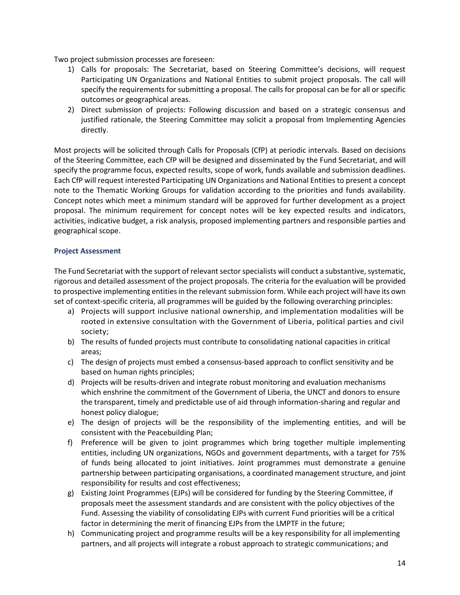Two project submission processes are foreseen:

- 1) Calls for proposals: The Secretariat, based on Steering Committee's decisions, will request Participating UN Organizations and National Entities to submit project proposals. The call will specify the requirements for submitting a proposal. The calls for proposal can be for all or specific outcomes or geographical areas.
- 2) Direct submission of projects: Following discussion and based on a strategic consensus and justified rationale, the Steering Committee may solicit a proposal from Implementing Agencies directly.

Most projects will be solicited through Calls for Proposals (CfP) at periodic intervals. Based on decisions of the Steering Committee, each CfP will be designed and disseminated by the Fund Secretariat, and will specify the programme focus, expected results, scope of work, funds available and submission deadlines. Each CfP will request interested Participating UN Organizations and National Entities to present a concept note to the Thematic Working Groups for validation according to the priorities and funds availability. Concept notes which meet a minimum standard will be approved for further development as a project proposal. The minimum requirement for concept notes will be key expected results and indicators, activities, indicative budget, a risk analysis, proposed implementing partners and responsible parties and geographical scope.

#### <span id="page-13-0"></span>**Project Assessment**

The Fund Secretariat with the support of relevant sector specialists will conduct a substantive, systematic, rigorous and detailed assessment of the project proposals. The criteria for the evaluation will be provided to prospective implementing entities in the relevant submission form. While each project will have its own set of context-specific criteria, all programmes will be guided by the following overarching principles:

- a) Projects will support inclusive national ownership, and implementation modalities will be rooted in extensive consultation with the Government of Liberia, political parties and civil society;
- b) The results of funded projects must contribute to consolidating national capacities in critical areas;
- c) The design of projects must embed a consensus-based approach to conflict sensitivity and be based on human rights principles;
- d) Projects will be results-driven and integrate robust monitoring and evaluation mechanisms which enshrine the commitment of the Government of Liberia, the UNCT and donors to ensure the transparent, timely and predictable use of aid through information-sharing and regular and honest policy dialogue;
- e) The design of projects will be the responsibility of the implementing entities, and will be consistent with the Peacebuilding Plan;
- f) Preference will be given to joint programmes which bring together multiple implementing entities, including UN organizations, NGOs and government departments, with a target for 75% of funds being allocated to joint initiatives. Joint programmes must demonstrate a genuine partnership between participating organisations, a coordinated management structure, and joint responsibility for results and cost effectiveness;
- g) Existing Joint Programmes (EJPs) will be considered for funding by the Steering Committee, if proposals meet the assessment standards and are consistent with the policy objectives of the Fund. Assessing the viability of consolidating EJPs with current Fund priorities will be a critical factor in determining the merit of financing EJPs from the LMPTF in the future;
- h) Communicating project and programme results will be a key responsibility for all implementing partners, and all projects will integrate a robust approach to strategic communications; and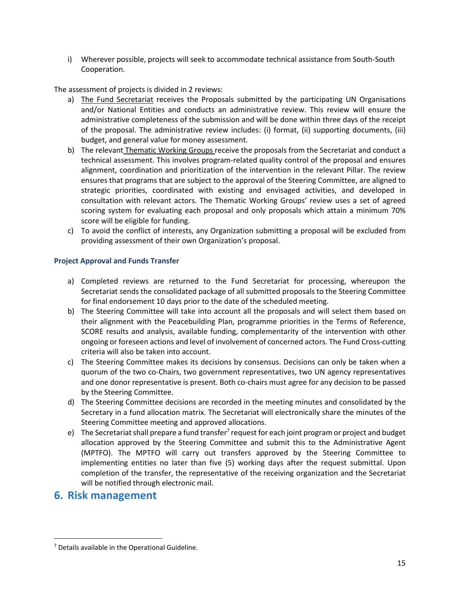i) Wherever possible, projects will seek to accommodate technical assistance from South-South Cooperation.

The assessment of projects is divided in 2 reviews:

- a) The Fund Secretariat receives the Proposals submitted by the participating UN Organisations and/or National Entities and conducts an administrative review. This review will ensure the administrative completeness of the submission and will be done within three days of the receipt of the proposal. The administrative review includes: (i) format, (ii) supporting documents, (iii) budget, and general value for money assessment.
- b) The relevant Thematic Working Groups receive the proposals from the Secretariat and conduct a technical assessment. This involves program-related quality control of the proposal and ensures alignment, coordination and prioritization of the intervention in the relevant Pillar. The review ensures that programs that are subject to the approval of the Steering Committee, are aligned to strategic priorities, coordinated with existing and envisaged activities, and developed in consultation with relevant actors. The Thematic Working Groups' review uses a set of agreed scoring system for evaluating each proposal and only proposals which attain a minimum 70% score will be eligible for funding.
- c) To avoid the conflict of interests, any Organization submitting a proposal will be excluded from providing assessment of their own Organization's proposal.

#### <span id="page-14-0"></span>**Project Approval and Funds Transfer**

- a) Completed reviews are returned to the Fund Secretariat for processing, whereupon the Secretariat sends the consolidated package of all submitted proposals to the Steering Committee for final endorsement 10 days prior to the date of the scheduled meeting.
- b) The Steering Committee will take into account all the proposals and will select them based on their alignment with the Peacebuilding Plan, programme priorities in the Terms of Reference, SCORE results and analysis, available funding, complementarity of the intervention with other ongoing or foreseen actions and level of involvement of concerned actors. The Fund Cross-cutting criteria will also be taken into account.
- c) The Steering Committee makes its decisions by consensus. Decisions can only be taken when a quorum of the two co-Chairs, two government representatives, two UN agency representatives and one donor representative is present. Both co-chairs must agree for any decision to be passed by the Steering Committee.
- d) The Steering Committee decisions are recorded in the meeting minutes and consolidated by the Secretary in a fund allocation matrix. The Secretariat will electronically share the minutes of the Steering Committee meeting and approved allocations.
- e) The Secretariat shall prepare a fund transfer<sup>7</sup> request for each joint program or project and budget allocation approved by the Steering Committee and submit this to the Administrative Agent (MPTFO). The MPTFO will carry out transfers approved by the Steering Committee to implementing entities no later than five (5) working days after the request submittal. Upon completion of the transfer, the representative of the receiving organization and the Secretariat will be notified through electronic mail.

### <span id="page-14-1"></span>**6. Risk management**

l

<sup>7</sup> Details available in the Operational Guideline.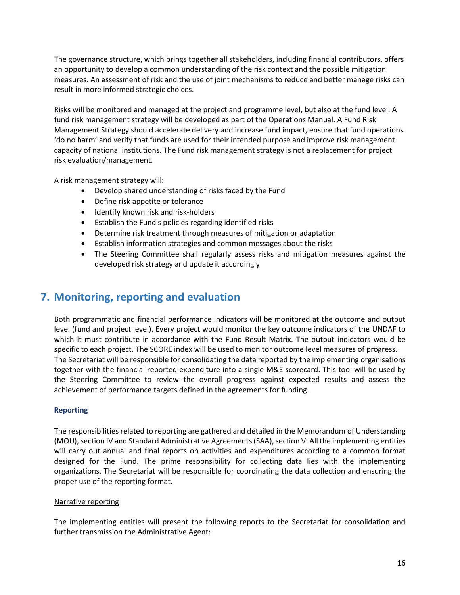The governance structure, which brings together all stakeholders, including financial contributors, offers an opportunity to develop a common understanding of the risk context and the possible mitigation measures. An assessment of risk and the use of joint mechanisms to reduce and better manage risks can result in more informed strategic choices.

Risks will be monitored and managed at the project and programme level, but also at the fund level. A fund risk management strategy will be developed as part of the Operations Manual. A Fund Risk Management Strategy should accelerate delivery and increase fund impact, ensure that fund operations 'do no harm' and verify that funds are used for their intended purpose and improve risk management capacity of national institutions. The Fund risk management strategy is not a replacement for project risk evaluation/management.

A risk management strategy will:

- Develop shared understanding of risks faced by the Fund
- Define risk appetite or tolerance
- Identify known risk and risk-holders
- Establish the Fund's policies regarding identified risks
- Determine risk treatment through measures of mitigation or adaptation
- Establish information strategies and common messages about the risks
- The Steering Committee shall regularly assess risks and mitigation measures against the developed risk strategy and update it accordingly

## <span id="page-15-0"></span>**7. Monitoring, reporting and evaluation**

Both programmatic and financial performance indicators will be monitored at the outcome and output level (fund and project level). Every project would monitor the key outcome indicators of the UNDAF to which it must contribute in accordance with the Fund Result Matrix. The output indicators would be specific to each project. The SCORE index will be used to monitor outcome level measures of progress. The Secretariat will be responsible for consolidating the data reported by the implementing organisations together with the financial reported expenditure into a single M&E scorecard. This tool will be used by the Steering Committee to review the overall progress against expected results and assess the achievement of performance targets defined in the agreements for funding.

#### <span id="page-15-1"></span>**Reporting**

The responsibilities related to reporting are gathered and detailed in the Memorandum of Understanding (MOU), section IV and Standard Administrative Agreements (SAA), section V. All the implementing entities will carry out annual and final reports on activities and expenditures according to a common format designed for the Fund. The prime responsibility for collecting data lies with the implementing organizations. The Secretariat will be responsible for coordinating the data collection and ensuring the proper use of the reporting format.

#### Narrative reporting

The implementing entities will present the following reports to the Secretariat for consolidation and further transmission the Administrative Agent: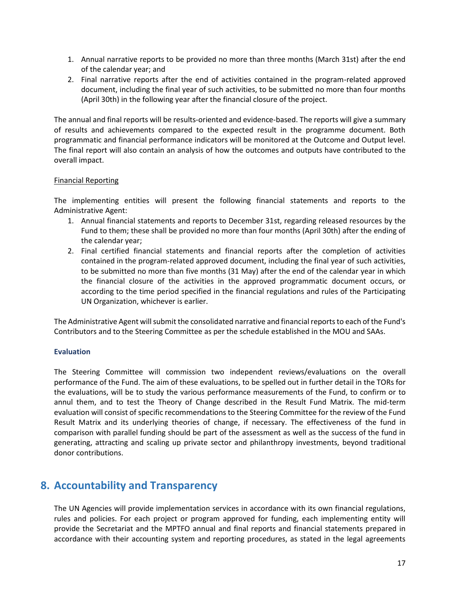- 1. Annual narrative reports to be provided no more than three months (March 31st) after the end of the calendar year; and
- 2. Final narrative reports after the end of activities contained in the program-related approved document, including the final year of such activities, to be submitted no more than four months (April 30th) in the following year after the financial closure of the project.

The annual and final reports will be results-oriented and evidence-based. The reports will give a summary of results and achievements compared to the expected result in the programme document. Both programmatic and financial performance indicators will be monitored at the Outcome and Output level. The final report will also contain an analysis of how the outcomes and outputs have contributed to the overall impact.

#### Financial Reporting

The implementing entities will present the following financial statements and reports to the Administrative Agent:

- 1. Annual financial statements and reports to December 31st, regarding released resources by the Fund to them; these shall be provided no more than four months (April 30th) after the ending of the calendar year;
- 2. Final certified financial statements and financial reports after the completion of activities contained in the program-related approved document, including the final year of such activities, to be submitted no more than five months (31 May) after the end of the calendar year in which the financial closure of the activities in the approved programmatic document occurs, or according to the time period specified in the financial regulations and rules of the Participating UN Organization, whichever is earlier.

The Administrative Agent will submit the consolidated narrative and financial reports to each of the Fund's Contributors and to the Steering Committee as per the schedule established in the MOU and SAAs.

#### <span id="page-16-0"></span>**Evaluation**

The Steering Committee will commission two independent reviews/evaluations on the overall performance of the Fund. The aim of these evaluations, to be spelled out in further detail in the TORs for the evaluations, will be to study the various performance measurements of the Fund, to confirm or to annul them, and to test the Theory of Change described in the Result Fund Matrix. The mid-term evaluation will consist of specific recommendations to the Steering Committee for the review of the Fund Result Matrix and its underlying theories of change, if necessary. The effectiveness of the fund in comparison with parallel funding should be part of the assessment as well as the success of the fund in generating, attracting and scaling up private sector and philanthropy investments, beyond traditional donor contributions.

### <span id="page-16-1"></span>**8. Accountability and Transparency**

The UN Agencies will provide implementation services in accordance with its own financial regulations, rules and policies. For each project or program approved for funding, each implementing entity will provide the Secretariat and the MPTFO annual and final reports and financial statements prepared in accordance with their accounting system and reporting procedures, as stated in the legal agreements